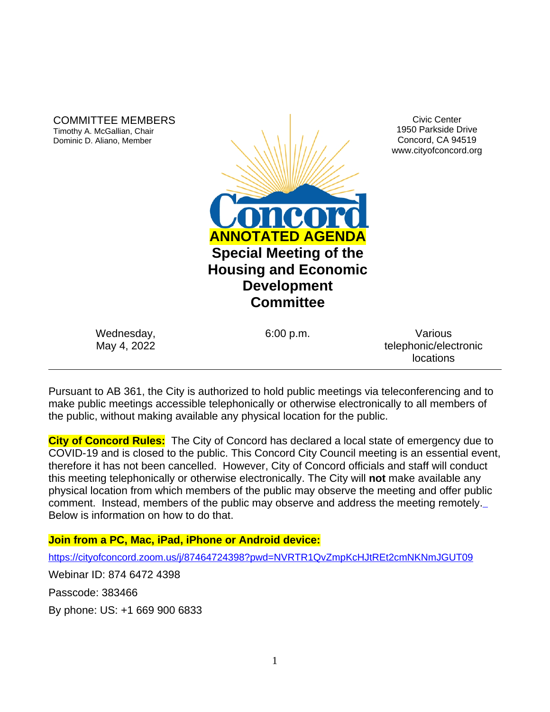COMMITTEE MEMBERS Timothy A. McGallian, Chair Dominic D. Aliano, Member



Civic Center 1950 Parkside Drive Concord, CA 94519 www.cityofconcord.org

Wednesday, May 4, 2022

6:00 p.m. Various telephonic/electronic locations

Pursuant to AB 361, the City is authorized to hold public meetings via teleconferencing and to make public meetings accessible telephonically or otherwise electronically to all members of the public, without making available any physical location for the public.

**City of Concord Rules:** The City of Concord has declared a local state of emergency due to COVID-19 and is closed to the public. This Concord City Council meeting is an essential event, therefore it has not been cancelled. However, City of Concord officials and staff will conduct this meeting telephonically or otherwise electronically. The City will **not** make available any physical location from which members of the public may observe the meeting and offer public comment. Instead, members of the public may observe and address the meeting remotely. Below is information on how to do that.

# **Join from a PC, Mac, iPad, iPhone or Android device:**

<https://cityofconcord.zoom.us/j/87464724398?pwd=NVRTR1QvZmpKcHJtREt2cmNKNmJGUT09>

Webinar ID: 874 6472 4398

Passcode: 383466

By phone: US: +1 669 900 6833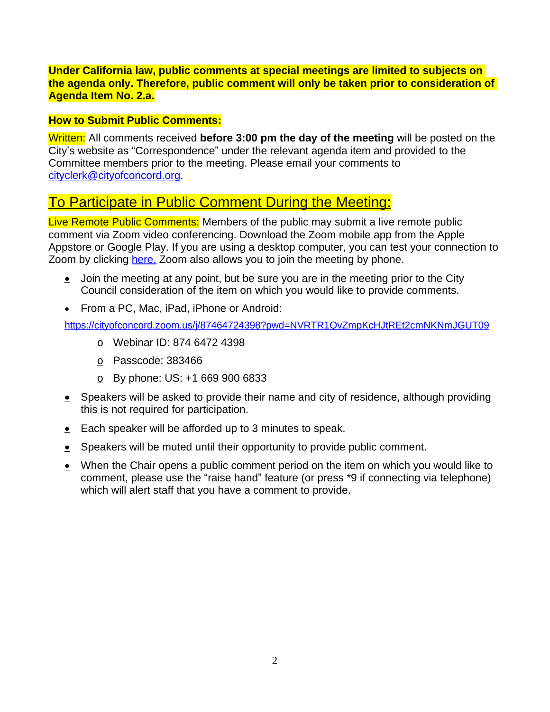# **Under California law, public comments at special meetings are limited to subjects on the agenda only. Therefore, public comment will only be taken prior to consideration of Agenda Item No. 2.a.**

# **How to Submit Public Comments:**

Written: All comments received **before 3:00 pm the day of the meeting** will be posted on the City's website as "Correspondence" under the relevant agenda item and provided to the Committee members prior to the meeting. Please email your comments to [cityclerk@cityofconcord.org.](mailto:cityclerk@cityofconcord.org)

# To Participate in Public Comment During the Meeting:

Live Remote Public Comments: Members of the public may submit a live remote public comment via Zoom video conferencing. Download the Zoom mobile app from the Apple Appstore or Google Play. If you are using a desktop computer, you can test your connection to Zoom by clicking [here.](https://www.zoom.us/join) Zoom also allows you to join the meeting by phone.

- $\bullet$  Join the meeting at any point, but be sure you are in the meeting prior to the City Council consideration of the item on which you would like to provide comments.
- **From a PC, Mac, iPad, iPhone or Android:**

<https://cityofconcord.zoom.us/j/87464724398?pwd=NVRTR1QvZmpKcHJtREt2cmNKNmJGUT09>

- o Webinar ID: 874 6472 4398
- o Passcode: 383466
- $_{\odot}$  By phone: US: +1 669 900 6833
- $\bullet$  Speakers will be asked to provide their name and city of residence, although providing this is not required for participation.
- Each speaker will be afforded up to 3 minutes to speak.
- Speakers will be muted until their opportunity to provide public comment.
- When the Chair opens a public comment period on the item on which you would like to comment, please use the "raise hand" feature (or press \*9 if connecting via telephone) which will alert staff that you have a comment to provide.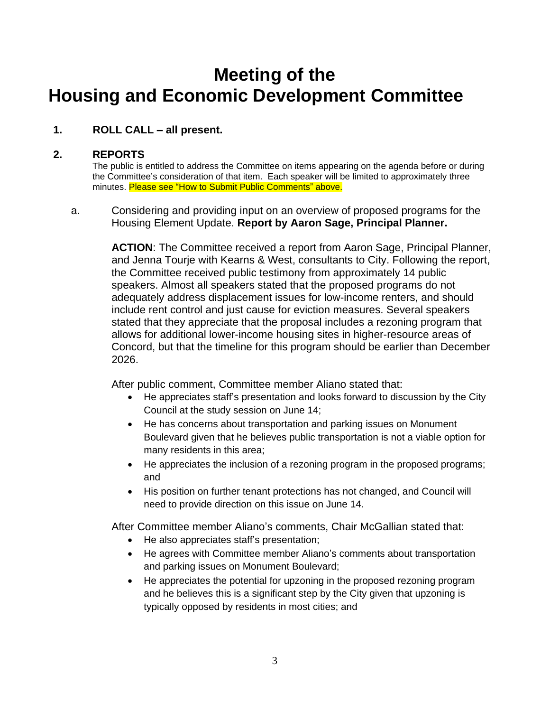# **Meeting of the Housing and Economic Development Committee**

# **1. ROLL CALL – all present.**

### **2. REPORTS**

The public is entitled to address the Committee on items appearing on the agenda before or during the Committee's consideration of that item. Each speaker will be limited to approximately three minutes. Please see "How to Submit Public Comments" above.

a. Considering and providing input on an overview of proposed programs for the Housing Element Update. **Report by Aaron Sage, Principal Planner.**

> **ACTION**: The Committee received a report from Aaron Sage, Principal Planner, and Jenna Tourje with Kearns & West, consultants to City. Following the report, the Committee received public testimony from approximately 14 public speakers. Almost all speakers stated that the proposed programs do not adequately address displacement issues for low-income renters, and should include rent control and just cause for eviction measures. Several speakers stated that they appreciate that the proposal includes a rezoning program that allows for additional lower-income housing sites in higher-resource areas of Concord, but that the timeline for this program should be earlier than December 2026.

After public comment, Committee member Aliano stated that:

- He appreciates staff's presentation and looks forward to discussion by the City Council at the study session on June 14;
- He has concerns about transportation and parking issues on Monument Boulevard given that he believes public transportation is not a viable option for many residents in this area;
- He appreciates the inclusion of a rezoning program in the proposed programs; and
- His position on further tenant protections has not changed, and Council will need to provide direction on this issue on June 14.

After Committee member Aliano's comments, Chair McGallian stated that:

- He also appreciates staff's presentation;
- He agrees with Committee member Aliano's comments about transportation and parking issues on Monument Boulevard;
- He appreciates the potential for upzoning in the proposed rezoning program and he believes this is a significant step by the City given that upzoning is typically opposed by residents in most cities; and